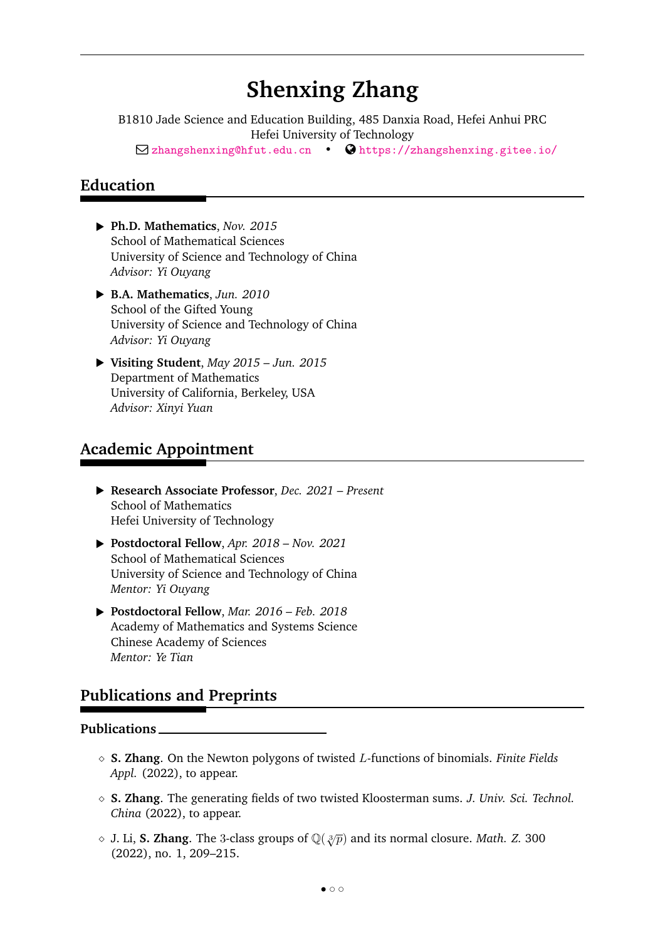# **Shenxing Zhang**

B1810 Jade Science and Education Building, 485 Danxia Road, Hefei Anhui PRC Hefei University of Technology  $\Box$ zhangshenxing@hfut.edu.cn •  $\bigcirc$  https://zhangshenxing.gitee.io/

## **Education**

- § **Ph.D. Mathematics**, *Nov. 2015* School of Mathematical Sciences University of Science and Technology of China *Advisor: Yi Ouyang*
- § **B.A. Mathematics**, *Jun. 2010* School of the Gifted Young University of Science and Technology of China *Advisor: Yi Ouyang*
- § **Visiting Student**, *May 2015 Jun. 2015* Department of Mathematics University of California, Berkeley, USA *Advisor: Xinyi Yuan*

# **Academic Appointment**

- § **Research Associate Professor**, *Dec. 2021 Present* School of Mathematics Hefei University of Technology
- § **Postdoctoral Fellow**, *Apr. 2018 Nov. 2021* School of Mathematical Sciences University of Science and Technology of China *Mentor: Yi Ouyang*
- § **Postdoctoral Fellow**, *Mar. 2016 Feb. 2018* Academy of Mathematics and Systems Science Chinese Academy of Sciences *Mentor: Ye Tian*

# **Publications and Preprints**

#### **Publications**

- ˛ **S. Zhang**. On the Newton polygons of twisted *L*-functions of binomials. *Finite Fields Appl.* (2022), to appear.
- ˛ **S. Zhang**. The generating fields of two twisted Kloosterman sums. *J. Univ. Sci. Technol. China* (2022), to appear.
- $\diamond$  J. Li, **S. Zhang**. The 3-class groups of  $\mathbb{Q}(\sqrt[3]{p})$  and its normal closure. *Math. Z.* 300 (2022), no. 1, 209–215.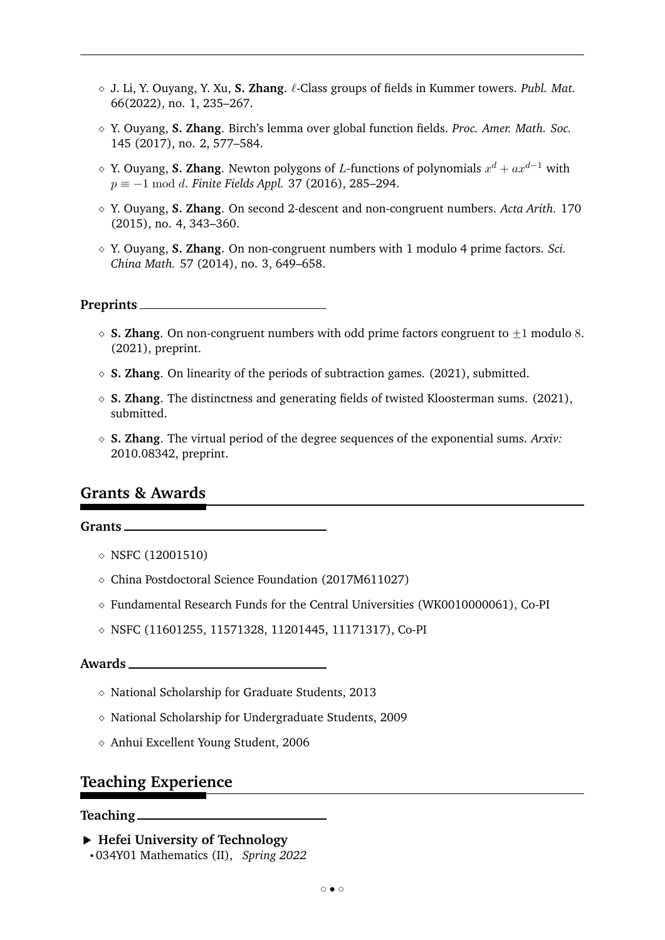- ˛ J. Li, Y. Ouyang, Y. Xu, **S. Zhang**. *ℓ*-Class groups of fields in Kummer towers. *Publ. Mat.* 66(2022), no. 1, 235–267.
- ˛ Y. Ouyang, **S. Zhang**. Birch's lemma over global function fields. *Proc. Amer. Math. Soc.* 145 (2017), no. 2, 577–584.
- $\diamond$  Y. Ouyang, **S. Zhang**. Newton polygons of *L*-functions of polynomials  $x^d + ax^{d-1}$  with  $p \equiv -1 \mod d$ . *Finite Fields Appl.* 37 (2016), 285–294.
- ˛ Y. Ouyang, **S. Zhang**. On second 2-descent and non-congruent numbers. *Acta Arith.* 170 (2015), no. 4, 343–360.
- ˛ Y. Ouyang, **S. Zhang**. On non-congruent numbers with 1 modulo 4 prime factors. *Sci. China Math.* 57 (2014), no. 3, 649–658.

#### **Preprints**

- $\circ$  **S. Zhang**. On non-congruent numbers with odd prime factors congruent to  $\pm 1$  modulo 8. (2021), preprint.
- $\Diamond$  **S. Zhang**. On linearity of the periods of subtraction games. (2021), submitted.
- ˛ **S. Zhang**. The distinctness and generating fields of twisted Kloosterman sums. (2021), submitted.
- ˛ **S. Zhang**. The virtual period of the degree sequences of the exponential sums. *Arxiv:* 2010.08342, preprint.

### **Grants & Awards**

#### **Grants**

- $\lozenge$  NSFC (12001510)
- ˛ China Postdoctoral Science Foundation (2017M611027)
- $\diamond$  Fundamental Research Funds for the Central Universities (WK0010000061), Co-PI
- ˛ NSFC (11601255, 11571328, 11201445, 11171317), Co-PI

#### **Awards**

- ˛ National Scholarship for Graduate Students, 2013
- $\diamond$  National Scholarship for Undergraduate Students, 2009
- ˛ Anhui Excellent Young Student, 2006

### **Teaching Experience**

#### **Teaching**

- § **Hefei University of Technology**
- ' 034Y01 Mathematics (II), *Spring 2022*